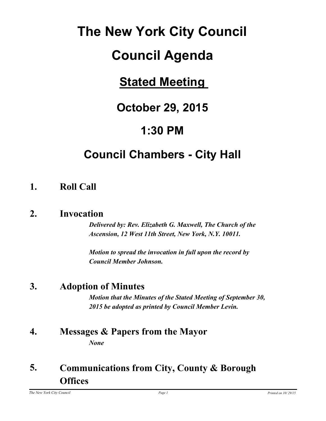# **The New York City Council**

# **Council Agenda**

# **Stated Meeting**

# **October 29, 2015**

# **1:30 PM**

# **Council Chambers - City Hall**

## **1. Roll Call**

### **2. Invocation**

*Delivered by: Rev. Elizabeth G. Maxwell, The Church of the Ascension, 12 West 11th Street, New York, N.Y. 10011.*

*Motion to spread the invocation in full upon the record by Council Member Johnson.*

## **3. Adoption of Minutes**

*Motion that the Minutes of the Stated Meeting of September 30, 2015 be adopted as printed by Council Member Levin.*

#### **4. Messages & Papers from the Mayor** *None*

#### **Communications from City, County & Borough Offices 5.**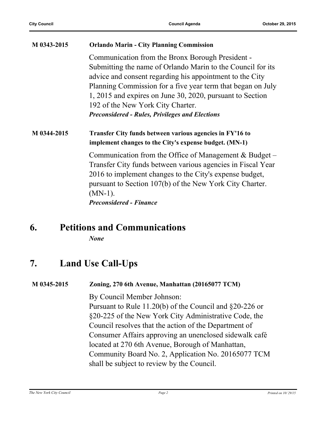| M 0343-2015 | <b>Orlando Marin - City Planning Commission</b>  |
|-------------|--------------------------------------------------|
|             | Communication from the Bronx Borough President - |

Submitting the name of Orlando Marin to the Council for its advice and consent regarding his appointment to the City Planning Commission for a five year term that began on July 1, 2015 and expires on June 30, 2020, pursuant to Section 192 of the New York City Charter. *Preconsidered - Rules, Privileges and Elections*

#### **M 0344-2015 Transfer City funds between various agencies in FY'16 to implement changes to the City's expense budget. (MN-1)**

Communication from the Office of Management  $& Budget$ Transfer City funds between various agencies in Fiscal Year 2016 to implement changes to the City's expense budget, pursuant to Section 107(b) of the New York City Charter. (MN-1). *Preconsidered - Finance*

### **6. Petitions and Communications**

*None*

### **7. Land Use Call-Ups**

#### **M 0345-2015 Zoning, 270 6th Avenue, Manhattan (20165077 TCM)**

By Council Member Johnson:

Pursuant to Rule 11.20(b) of the Council and §20-226 or §20-225 of the New York City Administrative Code, the Council resolves that the action of the Department of Consumer Affairs approving an unenclosed sidewalk café located at 270 6th Avenue, Borough of Manhattan, Community Board No. 2, Application No. 20165077 TCM shall be subject to review by the Council.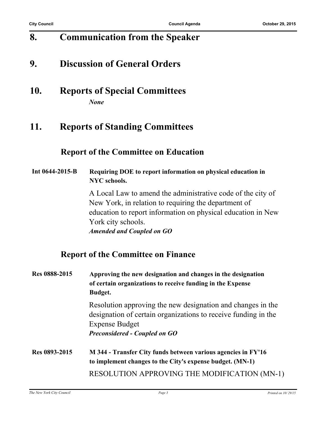## **8. Communication from the Speaker**

### **9. Discussion of General Orders**

**10. Reports of Special Committees** *None*

#### **11. Reports of Standing Committees**

#### **Report of the Committee on Education**

**Int 0644-2015-B Requiring DOE to report information on physical education in NYC schools.**

> A Local Law to amend the administrative code of the city of New York, in relation to requiring the department of education to report information on physical education in New York city schools. *Amended and Coupled on GO*

**Report of the Committee on Finance**

| Res 0888-2015 | Approving the new designation and changes in the designation<br>of certain organizations to receive funding in the Expense<br><b>Budget.</b>                                                   |
|---------------|------------------------------------------------------------------------------------------------------------------------------------------------------------------------------------------------|
|               | Resolution approving the new designation and changes in the<br>designation of certain organizations to receive funding in the<br><b>Expense Budget</b><br><b>Preconsidered - Coupled on GO</b> |
| Res 0893-2015 | M 344 - Transfer City funds between various agencies in FY'16<br>to implement changes to the City's expense budget. (MN-1)                                                                     |
|               | <b>RESOLUTION APPROVING THE MODIFICATION (MN-1)</b>                                                                                                                                            |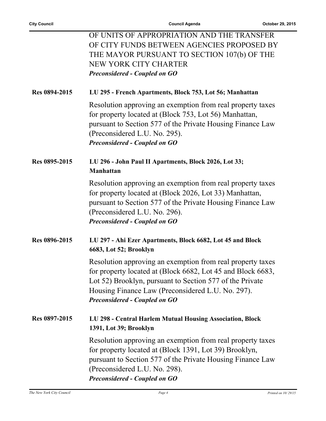|               | OF UNITS OF APPROPRIATION AND THE TRANSFER<br>OF CITY FUNDS BETWEEN AGENCIES PROPOSED BY<br>THE MAYOR PURSUANT TO SECTION 107(b) OF THE<br>NEW YORK CITY CHARTER<br><b>Preconsidered - Coupled on GO</b>                                                                    |
|---------------|-----------------------------------------------------------------------------------------------------------------------------------------------------------------------------------------------------------------------------------------------------------------------------|
| Res 0894-2015 | LU 295 - French Apartments, Block 753, Lot 56; Manhattan                                                                                                                                                                                                                    |
|               | Resolution approving an exemption from real property taxes<br>for property located at (Block 753, Lot 56) Manhattan,<br>pursuant to Section 577 of the Private Housing Finance Law<br>(Preconsidered L.U. No. 295).<br><b>Preconsidered - Coupled on GO</b>                 |
| Res 0895-2015 | LU 296 - John Paul II Apartments, Block 2026, Lot 33;<br>Manhattan                                                                                                                                                                                                          |
|               | Resolution approving an exemption from real property taxes<br>for property located at (Block 2026, Lot 33) Manhattan,<br>pursuant to Section 577 of the Private Housing Finance Law<br>(Preconsidered L.U. No. 296).<br><b>Preconsidered - Coupled on GO</b>                |
| Res 0896-2015 | LU 297 - Ahi Ezer Apartments, Block 6682, Lot 45 and Block<br>6683, Lot 52; Brooklyn                                                                                                                                                                                        |
|               | Resolution approving an exemption from real property taxes<br>for property located at (Block 6682, Lot 45 and Block 6683,<br>Lot 52) Brooklyn, pursuant to Section 577 of the Private<br>Housing Finance Law (Preconsidered L.U. No. 297).<br>Preconsidered - Coupled on GO |
| Res 0897-2015 | LU 298 - Central Harlem Mutual Housing Association, Block<br>1391, Lot 39; Brooklyn                                                                                                                                                                                         |
|               | Resolution approving an exemption from real property taxes<br>for property located at (Block 1391, Lot 39) Brooklyn,<br>pursuant to Section 577 of the Private Housing Finance Law<br>(Preconsidered L.U. No. 298).<br><b>Preconsidered - Coupled on GO</b>                 |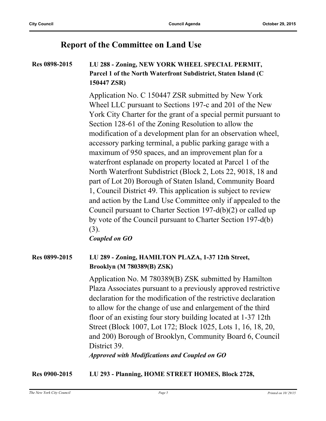#### **Report of the Committee on Land Use**

#### **Res 0898-2015 LU 288 - Zoning, NEW YORK WHEEL SPECIAL PERMIT, Parcel 1 of the North Waterfront Subdistrict, Staten Island (C 150447 ZSR)**

Application No. C 150447 ZSR submitted by New York Wheel LLC pursuant to Sections 197-c and 201 of the New York City Charter for the grant of a special permit pursuant to Section 128-61 of the Zoning Resolution to allow the modification of a development plan for an observation wheel, accessory parking terminal, a public parking garage with a maximum of 950 spaces, and an improvement plan for a waterfront esplanade on property located at Parcel 1 of the North Waterfront Subdistrict (Block 2, Lots 22, 9018, 18 and part of Lot 20) Borough of Staten Island, Community Board 1, Council District 49. This application is subject to review and action by the Land Use Committee only if appealed to the Council pursuant to Charter Section 197-d(b)(2) or called up by vote of the Council pursuant to Charter Section 197-d(b) (3).

*Coupled on GO*

#### **Res 0899-2015 LU 289 - Zoning, HAMILTON PLAZA, 1-37 12th Street, Brooklyn (M 780389(B) ZSK)**

Application No. M 780389(B) ZSK submitted by Hamilton Plaza Associates pursuant to a previously approved restrictive declaration for the modification of the restrictive declaration to allow for the change of use and enlargement of the third floor of an existing four story building located at 1-37 12th Street (Block 1007, Lot 172; Block 1025, Lots 1, 16, 18, 20, and 200) Borough of Brooklyn, Community Board 6, Council District 39.

*Approved with Modifications and Coupled on GO*

**Res 0900-2015 LU 293 - Planning, HOME STREET HOMES, Block 2728,**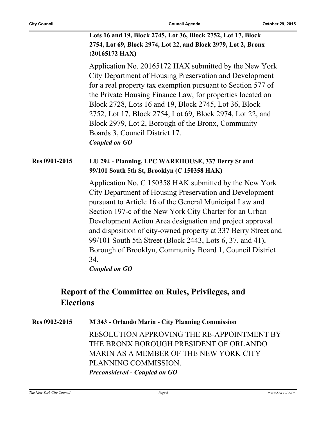**Lots 16 and 19, Block 2745, Lot 36, Block 2752, Lot 17, Block 2754, Lot 69, Block 2974, Lot 22, and Block 2979, Lot 2, Bronx (20165172 HAX)**

Application No. 20165172 HAX submitted by the New York City Department of Housing Preservation and Development for a real property tax exemption pursuant to Section 577 of the Private Housing Finance Law, for properties located on Block 2728, Lots 16 and 19, Block 2745, Lot 36, Block 2752, Lot 17, Block 2754, Lot 69, Block 2974, Lot 22, and Block 2979, Lot 2, Borough of the Bronx, Community Boards 3, Council District 17. *Coupled on GO*

#### **Res 0901-2015 LU 294 - Planning, LPC WAREHOUSE, 337 Berry St and 99/101 South 5th St, Brooklyn (C 150358 HAK)**

Application No. C 150358 HAK submitted by the New York City Department of Housing Preservation and Development pursuant to Article 16 of the General Municipal Law and Section 197-c of the New York City Charter for an Urban Development Action Area designation and project approval and disposition of city-owned property at 337 Berry Street and 99/101 South 5th Street (Block 2443, Lots 6, 37, and 41), Borough of Brooklyn, Community Board 1, Council District 34.

*Coupled on GO*

#### **Report of the Committee on Rules, Privileges, and Elections**

**Res 0902-2015 M 343 - Orlando Marin - City Planning Commission** RESOLUTION APPROVING THE RE-APPOINTMENT BY THE BRONX BOROUGH PRESIDENT OF ORLANDO MARIN AS A MEMBER OF THE NEW YORK CITY PLANNING COMMISSION. *Preconsidered - Coupled on GO*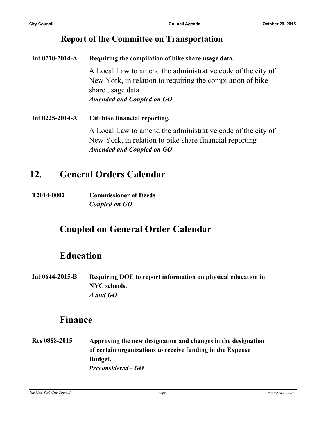#### **Report of the Committee on Transportation**

**Int 0210-2014-A Requiring the compilation of bike share usage data.** A Local Law to amend the administrative code of the city of New York, in relation to requiring the compilation of bike share usage data *Amended and Coupled on GO*

**Int 0225-2014-A Citi bike financial reporting.** A Local Law to amend the administrative code of the city of New York, in relation to bike share financial reporting *Amended and Coupled on GO*

#### **12. General Orders Calendar**

**T2014-0002 Commissioner of Deeds** *Coupled on GO*

### **Coupled on General Order Calendar**

### **Education**

**Int 0644-2015-B Requiring DOE to report information on physical education in NYC schools.** *A and GO*

#### **Finance**

**Res 0888-2015 Approving the new designation and changes in the designation of certain organizations to receive funding in the Expense Budget.** *Preconsidered - GO*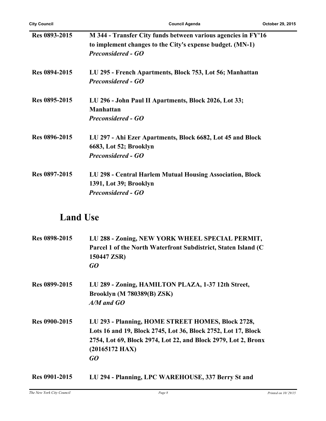| Res 0893-2015 | M 344 - Transfer City funds between various agencies in FY'16<br>to implement changes to the City's expense budget. (MN-1)<br><b>Preconsidered - GO</b> |
|---------------|---------------------------------------------------------------------------------------------------------------------------------------------------------|
| Res 0894-2015 | LU 295 - French Apartments, Block 753, Lot 56; Manhattan<br><b>Preconsidered - GO</b>                                                                   |
| Res 0895-2015 | LU 296 - John Paul II Apartments, Block 2026, Lot 33;<br><b>Manhattan</b><br><b>Preconsidered - GO</b>                                                  |
| Res 0896-2015 | LU 297 - Ahi Ezer Apartments, Block 6682, Lot 45 and Block<br>6683, Lot 52; Brooklyn<br><b>Preconsidered - GO</b>                                       |
| Res 0897-2015 | LU 298 - Central Harlem Mutual Housing Association, Block<br>1391, Lot 39; Brooklyn<br><b>Preconsidered - GO</b>                                        |

## **Land Use**

| Res 0898-2015        | LU 288 - Zoning, NEW YORK WHEEL SPECIAL PERMIT,<br>Parcel 1 of the North Waterfront Subdistrict, Staten Island (C)<br>150447 ZSR)<br>GO                                                                        |
|----------------------|----------------------------------------------------------------------------------------------------------------------------------------------------------------------------------------------------------------|
| Res 0899-2015        | LU 289 - Zoning, HAMILTON PLAZA, 1-37 12th Street,<br><b>Brooklyn (M 780389(B) ZSK)</b><br>$A/M$ and $GO$                                                                                                      |
| <b>Res 0900-2015</b> | LU 293 - Planning, HOME STREET HOMES, Block 2728,<br>Lots 16 and 19, Block 2745, Lot 36, Block 2752, Lot 17, Block<br>2754, Lot 69, Block 2974, Lot 22, and Block 2979, Lot 2, Bronx<br>$(20165172$ HAX)<br>GO |
| Res 0901-2015        | LU 294 - Planning, LPC WAREHOUSE, 337 Berry St and                                                                                                                                                             |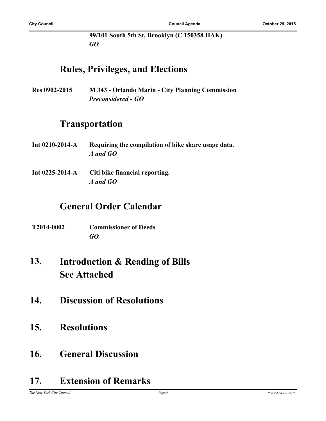**99/101 South 5th St, Brooklyn (C 150358 HAK)** *GO*

#### **Rules, Privileges, and Elections**

**Res 0902-2015 M 343 - Orlando Marin - City Planning Commission** *Preconsidered - GO*

### **Transportation**

- **Int 0210-2014-A Requiring the compilation of bike share usage data.** *A and GO*
- **Int 0225-2014-A Citi bike financial reporting.** *A and GO*

#### **General Order Calendar**

- **T2014-0002 Commissioner of Deeds** *GO*
- **Introduction & Reading of Bills See Attached 13.**
- **14. Discussion of Resolutions**
- **15. Resolutions**
- **16. General Discussion**

### **17. Extension of Remarks**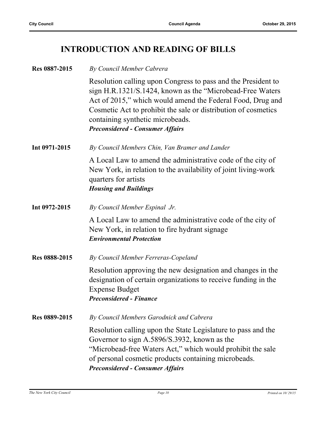### **INTRODUCTION AND READING OF BILLS**

| Res 0887-2015 | By Council Member Cabrera                                                                                                                                                                                                                                                                                                                  |
|---------------|--------------------------------------------------------------------------------------------------------------------------------------------------------------------------------------------------------------------------------------------------------------------------------------------------------------------------------------------|
|               | Resolution calling upon Congress to pass and the President to<br>sign H.R.1321/S.1424, known as the "Microbead-Free Waters"<br>Act of 2015," which would amend the Federal Food, Drug and<br>Cosmetic Act to prohibit the sale or distribution of cosmetics<br>containing synthetic microbeads.<br><b>Preconsidered - Consumer Affairs</b> |
| Int 0971-2015 | By Council Members Chin, Van Bramer and Lander                                                                                                                                                                                                                                                                                             |
|               | A Local Law to amend the administrative code of the city of<br>New York, in relation to the availability of joint living-work<br>quarters for artists<br><b>Housing and Buildings</b>                                                                                                                                                      |
| Int 0972-2015 | By Council Member Espinal Jr.                                                                                                                                                                                                                                                                                                              |
|               | A Local Law to amend the administrative code of the city of<br>New York, in relation to fire hydrant signage<br><b>Environmental Protection</b>                                                                                                                                                                                            |
| Res 0888-2015 | By Council Member Ferreras-Copeland                                                                                                                                                                                                                                                                                                        |
|               | Resolution approving the new designation and changes in the<br>designation of certain organizations to receive funding in the<br><b>Expense Budget</b><br><b>Preconsidered - Finance</b>                                                                                                                                                   |
| Res 0889-2015 | By Council Members Garodnick and Cabrera                                                                                                                                                                                                                                                                                                   |
|               | Resolution calling upon the State Legislature to pass and the<br>Governor to sign A.5896/S.3932, known as the<br>"Microbead-free Waters Act," which would prohibit the sale<br>of personal cosmetic products containing microbeads.<br><b>Preconsidered - Consumer Affairs</b>                                                             |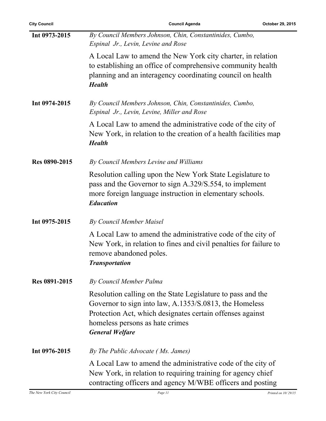| <b>City Council</b> | <b>Council Agenda</b>                                                                                                                                                                                                                           | October 29, 2015 |
|---------------------|-------------------------------------------------------------------------------------------------------------------------------------------------------------------------------------------------------------------------------------------------|------------------|
| Int 0973-2015       | By Council Members Johnson, Chin, Constantinides, Cumbo,<br>Espinal Jr., Levin, Levine and Rose                                                                                                                                                 |                  |
|                     | A Local Law to amend the New York city charter, in relation<br>to establishing an office of comprehensive community health<br>planning and an interagency coordinating council on health<br><b>Health</b>                                       |                  |
| Int 0974-2015       | By Council Members Johnson, Chin, Constantinides, Cumbo,<br>Espinal Jr., Levin, Levine, Miller and Rose                                                                                                                                         |                  |
|                     | A Local Law to amend the administrative code of the city of<br>New York, in relation to the creation of a health facilities map<br><b>Health</b>                                                                                                |                  |
| Res 0890-2015       | By Council Members Levine and Williams                                                                                                                                                                                                          |                  |
|                     | Resolution calling upon the New York State Legislature to<br>pass and the Governor to sign A.329/S.554, to implement<br>more foreign language instruction in elementary schools.<br><b>Education</b>                                            |                  |
| Int 0975-2015       | By Council Member Maisel                                                                                                                                                                                                                        |                  |
|                     | A Local Law to amend the administrative code of the city of<br>New York, in relation to fines and civil penalties for failure to<br>remove abandoned poles.<br><b>Transportation</b>                                                            |                  |
| Res 0891-2015       | By Council Member Palma                                                                                                                                                                                                                         |                  |
|                     | Resolution calling on the State Legislature to pass and the<br>Governor to sign into law, A.1353/S.0813, the Homeless<br>Protection Act, which designates certain offenses against<br>homeless persons as hate crimes<br><b>General Welfare</b> |                  |
| Int 0976-2015       | By The Public Advocate (Ms. James)                                                                                                                                                                                                              |                  |
|                     | A Local Law to amend the administrative code of the city of<br>New York, in relation to requiring training for agency chief<br>contracting officers and agency M/WBE officers and posting                                                       |                  |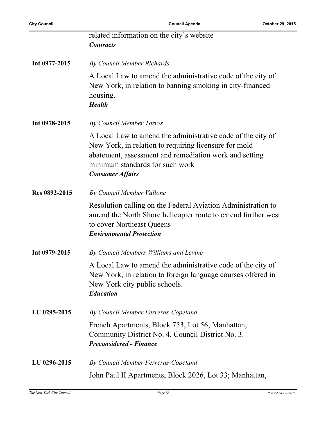|               | related information on the city's website<br><b>Contracts</b>                                                                                                                                                                                |
|---------------|----------------------------------------------------------------------------------------------------------------------------------------------------------------------------------------------------------------------------------------------|
| Int 0977-2015 | By Council Member Richards                                                                                                                                                                                                                   |
|               | A Local Law to amend the administrative code of the city of<br>New York, in relation to banning smoking in city-financed<br>housing.<br><b>Health</b>                                                                                        |
| Int 0978-2015 | By Council Member Torres                                                                                                                                                                                                                     |
|               | A Local Law to amend the administrative code of the city of<br>New York, in relation to requiring licensure for mold<br>abatement, assessment and remediation work and setting<br>minimum standards for such work<br><b>Consumer Affairs</b> |
| Res 0892-2015 | By Council Member Vallone                                                                                                                                                                                                                    |
|               | Resolution calling on the Federal Aviation Administration to<br>amend the North Shore helicopter route to extend further west<br>to cover Northeast Queens<br><b>Environmental Protection</b>                                                |
| Int 0979-2015 | By Council Members Williams and Levine                                                                                                                                                                                                       |
|               | A Local Law to amend the administrative code of the city of<br>New York, in relation to foreign language courses offered in<br>New York city public schools.<br><b>Education</b>                                                             |
| LU 0295-2015  | By Council Member Ferreras-Copeland                                                                                                                                                                                                          |
|               | French Apartments, Block 753, Lot 56; Manhattan,<br>Community District No. 4, Council District No. 3.<br><b>Preconsidered - Finance</b>                                                                                                      |
| LU 0296-2015  | By Council Member Ferreras-Copeland                                                                                                                                                                                                          |
|               | John Paul II Apartments, Block 2026, Lot 33; Manhattan,                                                                                                                                                                                      |